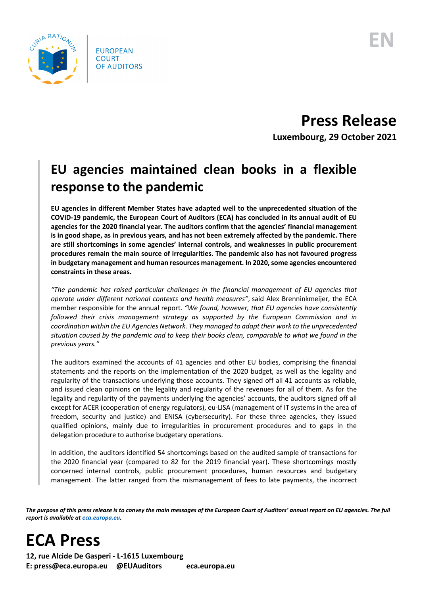

**Press Release Luxembourg, 29 October 2021**

## **EU agencies maintained clean books in a flexible response to the pandemic**

**EU agencies in different Member States have adapted well to the unprecedented situation of the COVID-19 pandemic, the European Court of Auditors (ECA) has concluded in its annual audit of EU agencies for the 2020 financial year. The auditors confirm that the agencies' financial management is in good shape, as in previous years, and has not been extremely affected by the pandemic. There are still shortcomings in some agencies' internal controls, and weaknesses in public procurement procedures remain the main source of irregularities. The pandemic also has not favoured progress in budgetary management and human resources management. In 2020, some agencies encountered constraints in these areas.**

*"The pandemic has raised particular challenges in the financial management of EU agencies that operate under different national contexts and health measures"*, said Alex Brenninkmeijer, the ECA member responsible for the annual report. *"We found, however, that EU agencies have consistently followed their crisis management strategy as supported by the European Commission and in coordination within the EU Agencies Network. They managed to adapt their work to the unprecedented situation caused by the pandemic and to keep their books clean, comparable to what we found in the previous years."*

The auditors examined the accounts of 41 agencies and other EU bodies, comprising the financial statements and the reports on the implementation of the 2020 budget, as well as the legality and regularity of the transactions underlying those accounts. They signed off all 41 accounts as reliable, and issued clean opinions on the legality and regularity of the revenues for all of them. As for the legality and regularity of the payments underlying the agencies' accounts, the auditors signed off all except for ACER (cooperation of energy regulators), eu-LISA (management of IT systems in the area of freedom, security and justice) and ENISA (cybersecurity). For these three agencies, they issued qualified opinions, mainly due to irregularities in procurement procedures and to gaps in the delegation procedure to authorise budgetary operations.

In addition, the auditors identified 54 shortcomings based on the audited sample of transactions for the 2020 financial year (compared to 82 for the 2019 financial year). These shortcomings mostly concerned internal controls, public procurement procedures, human resources and budgetary management. The latter ranged from the mismanagement of fees to late payments, the incorrect

*The purpose of this press release is to convey the main messages of the European Court of Auditors' annual report on EU agencies. The full report is available a[t eca.europa.eu.](https://www.eca.europa.eu/)*

**ECA Press**

**12, rue Alcide De Gasperi - L-1615 Luxembourg E: press@eca.europa.eu @EUAuditors eca.europa.eu**